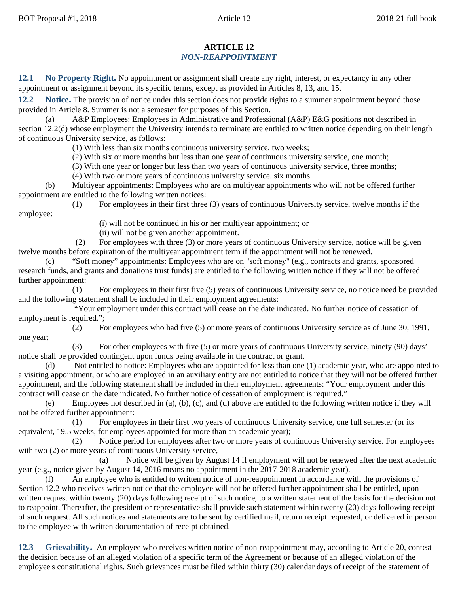## **ARTICLE 12** *NON-REAPPOINTMENT*

**12.1 No Property Right.** No appointment or assignment shall create any right, interest, or expectancy in any other appointment or assignment beyond its specific terms, except as provided in Articles 8, 13, and 15.

**12.2 Notice.** The provision of notice under this section does not provide rights to a summer appointment beyond those provided in Article 8. Summer is not a semester for purposes of this Section.

(a) A&P Employees: Employees in Administrative and Professional (A&P) E&G positions not described in section 12.2(d) whose employment the University intends to terminate are entitled to written notice depending on their length of continuous University service, as follows:

(1) With less than six months continuous university service, two weeks;

(2) With six or more months but less than one year of continuous university service, one month;

(3) With one year or longer but less than two years of continuous university service, three months;

(4) With two or more years of continuous university service, six months.

(b) Multiyear appointments: Employees who are on multiyear appointments who will not be offered further appointment are entitled to the following written notices:

(1) For employees in their first three (3) years of continuous University service, twelve months if the employee:

(i) will not be continued in his or her multiyear appointment; or

(ii) will not be given another appointment.

(2) For employees with three (3) or more years of continuous University service, notice will be given twelve months before expiration of the multiyear appointment term if the appointment will not be renewed.

(c) "Soft money" appointments: Employees who are on "soft money" (e.g., contracts and grants, sponsored research funds, and grants and donations trust funds) are entitled to the following written notice if they will not be offered further appointment:

(1) For employees in their first five (5) years of continuous University service, no notice need be provided and the following statement shall be included in their employment agreements:

"Your employment under this contract will cease on the date indicated. No further notice of cessation of employment is required.";

(2) For employees who had five (5) or more years of continuous University service as of June 30, 1991, one year;

(3) For other employees with five (5) or more years of continuous University service, ninety (90) days' notice shall be provided contingent upon funds being available in the contract or grant.

(d) Not entitled to notice: Employees who are appointed for less than one (1) academic year, who are appointed to a visiting appointment, or who are employed in an auxiliary entity are not entitled to notice that they will not be offered further appointment, and the following statement shall be included in their employment agreements: "Your employment under this contract will cease on the date indicated. No further notice of cessation of employment is required."

(e) Employees not described in (a), (b), (c), and (d) above are entitled to the following written notice if they will not be offered further appointment:

(1) For employees in their first two years of continuous University service, one full semester (or its equivalent, 19.5 weeks, for employees appointed for more than an academic year);

(2) Notice period for employees after two or more years of continuous University service. For employees with two (2) or more years of continuous University service,

(a) Notice will be given by August 14 if employment will not be renewed after the next academic year (e.g., notice given by August 14, 2016 means no appointment in the 2017-2018 academic year).

(f) An employee who is entitled to written notice of non-reappointment in accordance with the provisions of Section 12.2 who receives written notice that the employee will not be offered further appointment shall be entitled, upon written request within twenty (20) days following receipt of such notice, to a written statement of the basis for the decision not to reappoint. Thereafter, the president or representative shall provide such statement within twenty (20) days following receipt of such request. All such notices and statements are to be sent by certified mail, return receipt requested, or delivered in person to the employee with written documentation of receipt obtained.

**12.3 Grievability.** An employee who receives written notice of non-reappointment may, according to Article 20, contest the decision because of an alleged violation of a specific term of the Agreement or because of an alleged violation of the employee's constitutional rights. Such grievances must be filed within thirty (30) calendar days of receipt of the statement of